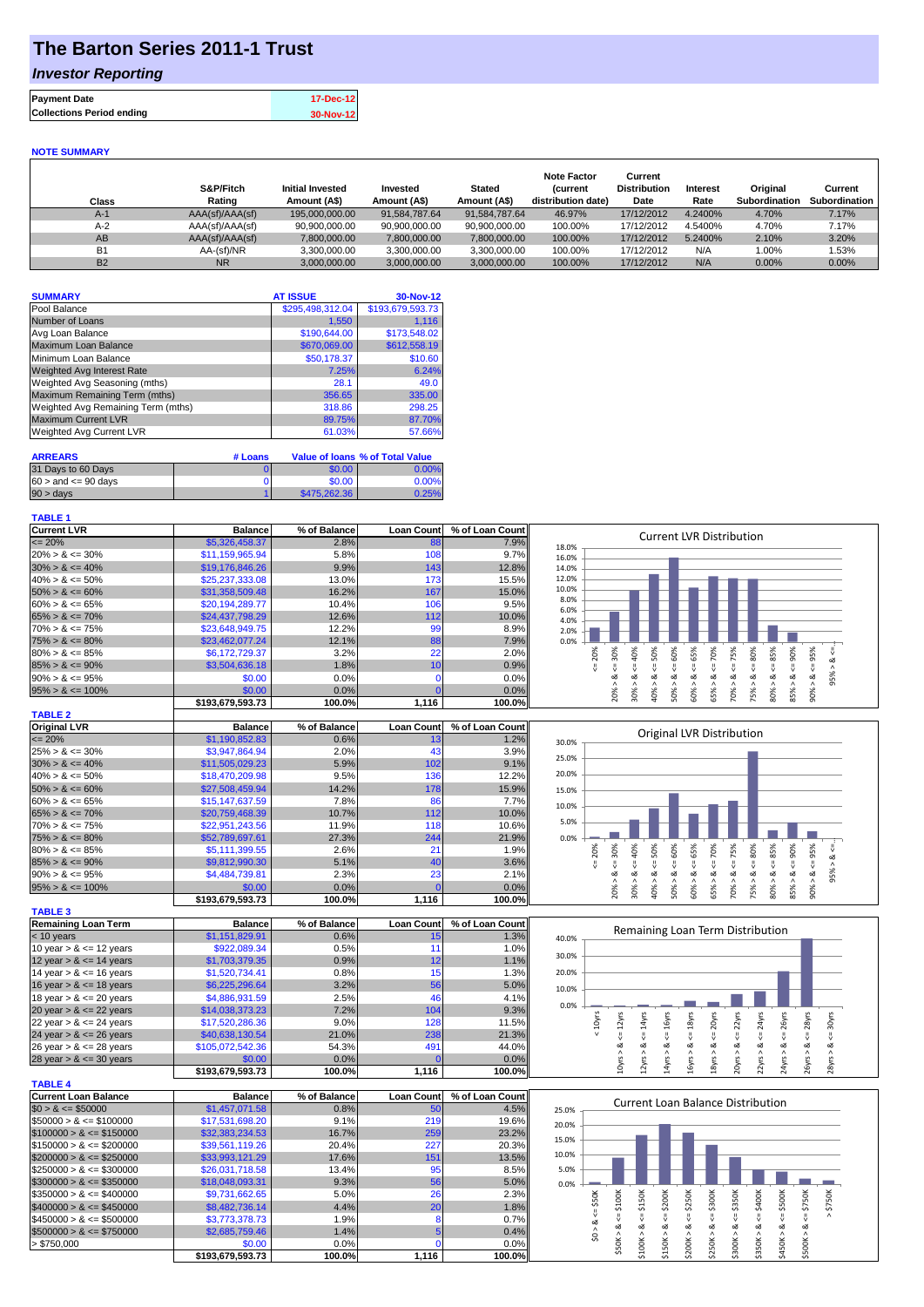## **The Barton Series 2011-1 Trust**

### *Investor Reporting*

| <b>Payment Date</b>              | 17-Dec-12 |
|----------------------------------|-----------|
| <b>Collections Period ending</b> | 30-Nov-12 |

#### **NOTE SUMMARY**

| Class     | S&P/Fitch<br>Rating | <b>Initial Invested</b><br>Amount (A\$) | Invested<br>Amount (A\$) | <b>Stated</b><br>Amount (A\$) | <b>Note Factor</b><br><b>Current</b><br>distribution date) | Current<br><b>Distribution</b><br>Date | Interest<br>Rate | Original<br>Subordination | Current<br>Subordination |
|-----------|---------------------|-----------------------------------------|--------------------------|-------------------------------|------------------------------------------------------------|----------------------------------------|------------------|---------------------------|--------------------------|
| $A-1$     | AAA(sf)/AAA(sf)     | 195,000,000,00                          | 91.584.787.64            | 91.584.787.64                 | 46.97%                                                     | 17/12/2012                             | 4.2400%          | 4.70%                     | 7.17%                    |
| $A-2$     | AAA(sf)/AAA(sf)     | 90.900.000.00                           | 90.900.000.00            | 90.900.000.00                 | 100.00%                                                    | 17/12/2012                             | 4.5400%          | 4.70%                     | 7.17%                    |
| AB        | AAA(sf)/AAA(sf)     | 7,800,000.00                            | 7,800,000.00             | 7,800,000.00                  | 100.00%                                                    | 17/12/2012                             | 5.2400%          | 2.10%                     | 3.20%                    |
| <b>B1</b> | AA-(sf)/NR          | 3,300,000.00                            | 3.300.000.00             | 3.300.000.00                  | 100.00%                                                    | 17/12/2012                             | N/A              | $0.00\%$                  | 1.53%                    |
| <b>B2</b> | <b>NR</b>           | 3.000.000.00                            | 3.000.000.00             | 3.000.000.00                  | 100.00%                                                    | 17/12/2012                             | N/A              | $0.00\%$                  | $0.00\%$                 |

| <b>SUMMARY</b>                     | <b>AT ISSUE</b>  | 30-Nov-12        |
|------------------------------------|------------------|------------------|
| Pool Balance                       | \$295,498,312.04 | \$193,679,593.73 |
| Number of Loans                    | 1,550            | 1,116            |
| Avg Loan Balance                   | \$190,644.00     | \$173,548.02     |
| Maximum Loan Balance               | \$670,069.00     | \$612,558.19     |
| Minimum Loan Balance               | \$50.178.37      | \$10.60          |
| Weighted Avg Interest Rate         | 7.25%            | 6.24%            |
| Weighted Avg Seasoning (mths)      | 28.1             | 49.0             |
| Maximum Remaining Term (mths)      | 356.65           | 335.00           |
| Weighted Avg Remaining Term (mths) | 318.86           | 298.25           |
| <b>Maximum Current LVR</b>         | 89.75%           | 87.70%           |
| Weighted Avg Current LVR           | 61.03%           | 57.66%           |

| <b>ARREARS</b>            | # Loans |              | Value of Ioans % of Total Value |
|---------------------------|---------|--------------|---------------------------------|
| 31 Days to 60 Days        |         | \$0.00       | 0.00%                           |
| $60 >$ and $\leq 90$ days |         | \$0.00       | 0.00%                           |
| $90 > \text{days}$        |         | \$475,262,36 | 0.25%                           |

#### **TABLE 1**

**TABLE 4**

| <b>Current LVR</b>   | <b>Balance</b>   | % of Balance | <b>Loan Countl</b> | % of Loan Count | <b>Current LVR Distribution</b>                                           |
|----------------------|------------------|--------------|--------------------|-----------------|---------------------------------------------------------------------------|
| $\leq$ 20%           | \$5,326,458.37   | 2.8%         | 88                 | 7.9%            | 18.0%                                                                     |
| $20\% > 8 \le 30\%$  | \$11.159.965.94  | 5.8%         | 108                | 9.7%            | 16.0%                                                                     |
| $30\% > 8 \le 40\%$  | \$19,176,846.26  | 9.9%         | 143                | 12.8%           | 14.0%                                                                     |
| $40\% > 8 \le 50\%$  | \$25,237,333,08  | 13.0%        | 173                | 15.5%           | 12.0%                                                                     |
| $50\% > 8 \le 60\%$  | \$31,358,509.48  | 16.2%        | 167                | 15.0%           | 10.0%                                                                     |
| $60\% > 8 \le 65\%$  | \$20,194,289.77  | 10.4%        | 106                | 9.5%            | 8.0%<br>6.0%                                                              |
| $65\% > 8 \le 70\%$  | \$24,437,798.29  | 12.6%        | 112                | 10.0%           | 4.0%                                                                      |
| $70\% > 8 \le 75\%$  | \$23,648,949.75  | 12.2%        | 99                 | 8.9%            | 2.0%                                                                      |
| $75\% > 8 \le 80\%$  | \$23,462,077,24  | 12.1%        | 88                 | 7.9%            | 0.0%                                                                      |
| $80\% > 8 \le 85\%$  | \$6.172.729.37   | 3.2%         | 22                 | 2.0%            | 20%<br>∝<br>Š.<br>Ŕ<br>Ĥ,<br>င္တ<br>Ò<br>Ò                                |
| $85\% > 8 \le 90\%$  | \$3,504,636.18   | 1.8%         |                    | 0.9%            |                                                                           |
| $90\% > 8 \le 95\%$  | \$0.00           | 0.0%         |                    | $0.0\%$         | ∞                                                                         |
| $95\% > 8 \le 100\%$ | \$0.00           | 0.0%         |                    | 0.0%            | ఠ<br>ఠ<br>္တိ<br>ဢၳ<br>ŝ<br>ŝ<br>ð                                        |
|                      | \$193,679,593.73 | 100.0%       | 1,116              | 100.0%          | ıñ<br>$\overline{0}$<br>$\bar{N}$<br>$\infty$<br>$\bar{\infty}$<br>∼<br>Ō |
| <b>TABLE O</b>       |                  |              |                    |                 |                                                                           |

| <b>INDLLA</b>        |                  |              |                   |                 |       |     |     |    |    |    |     |                           |    |           |     |  |
|----------------------|------------------|--------------|-------------------|-----------------|-------|-----|-----|----|----|----|-----|---------------------------|----|-----------|-----|--|
| <b>Original LVR</b>  | <b>Balance</b>   | % of Balance | <b>Loan Count</b> | % of Loan Count |       |     |     |    |    |    |     | Original LVR Distribution |    |           |     |  |
| $\leq$ 20%           | \$1,190,852.83   | 0.6%         |                   | 1.2%            | 30.0% |     |     |    |    |    |     |                           |    |           |     |  |
| $25\% > 8 \le 30\%$  | \$3,947,864.94   | 2.0%         | 43                | 3.9%            | 25.0% |     |     |    |    |    |     |                           |    |           |     |  |
| $30\% > 8 \le 40\%$  | \$11,505,029.23  | 5.9%         | 102               | 9.1%            |       |     |     |    |    |    |     |                           |    |           |     |  |
| $40\% > 8 \le 50\%$  | \$18,470,209.98  | 9.5%         | 136               | 12.2%           | 20.0% |     |     |    |    |    |     |                           |    |           |     |  |
| $50\% > 8 \le 60\%$  | \$27,508,459,94  | 14.2%        | 178               | 15.9%           | 15.0% |     |     |    |    |    |     |                           |    |           |     |  |
| $60\% > 8 \le 65\%$  | \$15,147,637.59  | 7.8%         | 86                | 7.7%            | 10.0% |     |     |    |    |    |     |                           |    |           |     |  |
| $65\% > 8 \le 70\%$  | \$20,759,468.39  | 10.7%        | 112               | 10.0%           |       |     |     |    |    |    |     |                           |    |           |     |  |
| $70\% > 8 \le 75\%$  | \$22,951,243.56  | 11.9%        | 118               | 10.6%           | 5.0%  |     |     |    |    |    |     |                           |    |           |     |  |
| $75\% > 8 \le 80\%$  | \$52,789,697.61  | 27.3%        | 244               | 21.9%           | 0.0%  |     |     |    |    |    |     |                           |    |           |     |  |
| $80\% > 8 \le 85\%$  | \$5.111.399.55   | 2.6%         | 21                | 1.9%            |       |     |     | Š  | Š  |    | Ò   | 75%                       | 8  | Ō<br>Ř,   | ≫   |  |
| $85\% > 8 \le 90\%$  | \$9,812,990.30   | 5.1%         | 40                | 3.6%            |       |     |     |    |    |    |     |                           |    |           |     |  |
| $90\% > 8 \le 95\%$  | \$4,484,739.81   | 2.3%         | 23                | 2.1%            |       |     |     | οŽ |    |    |     | ∝                         | ∞  |           |     |  |
| $95\% > 8 \le 100\%$ | \$0.00           | 0.0%         |                   | 0.0%            |       | 20% | 30° | ê0 | ŏ  | Š  | 5%  | 70%                       | 5% | 5%<br>80% | 90% |  |
|                      | \$193.679.593.73 | 100.0%       | 1.116             | 100.0%          |       |     |     |    | ıñ | ιō | ιó. |                           |    |           |     |  |

| <b>TABLE 3</b>             |                  |              |                   |                 |
|----------------------------|------------------|--------------|-------------------|-----------------|
| <b>Remaining Loan Term</b> | <b>Balance</b>   | % of Balance | <b>Loan Count</b> | % of Loan Count |
| $< 10$ years               | \$1,151,829.91   | 0.6%         | 15                | 1.3%            |
| 10 year $> 8 \le 12$ years | \$922,089.34     | 0.5%         | 11                | 1.0%            |
| 12 year $> 8 \le 14$ years | \$1,703,379.35   | 0.9%         | 12                | 1.1%            |
| 14 year $> 8 \le 16$ years | \$1,520,734.41   | 0.8%         | 15                | 1.3%            |
| 16 year $> 8 \le 18$ years | \$6,225,296.64   | 3.2%         | 56                | 5.0%            |
| 18 year $> 8 \le 20$ years | \$4,886,931.59   | 2.5%         | 46                | 4.1%            |
| 20 year $> 8 \le 22$ years | \$14,038,373.23  | 7.2%         | 104               | 9.3%            |
| 22 year $> 8 \le 24$ years | \$17,520,286.36  | 9.0%         | 128               | 11.5%           |
| 24 year $> 8 \le 26$ years | \$40,638,130.54  | 21.0%        | 238               | 21.3%           |
| 26 year $> 8 \le 28$ years | \$105,072,542.36 | 54.3%        | 491               | 44.0%           |
| 28 year $> 8 \le 30$ years | \$0.00           | $0.0\%$      |                   | 0.0%            |
|                            | \$193.679.593.73 | 100.0%       | 1.116             | 100.0%          |

| TABLE 4                      |                  |              |                   |                 |
|------------------------------|------------------|--------------|-------------------|-----------------|
| Current Loan Balance         | <b>Balance</b>   | % of Balance | <b>Loan Count</b> | % of Loan Count |
| $$0 > 8 \leq $50000$         | \$1,457,071.58   | 0.8%         | 50                | 4.5%            |
| $\$50000 > 8 \leq \$100000$  | \$17.531.698.20  | 9.1%         | 219               | 19.6%           |
| $$100000 > 8 \leq $150000$   | \$32,383,234,53  | 16.7%        | 259               | 23.2%           |
| $$150000 > 8 \leq $200000$   | \$39,561,119.26  | 20.4%        | 227               | 20.3%           |
| $$200000 > 8 \leq $250000$   | \$33,993,121.29  | 17.6%        | 151               | 13.5%           |
| $$250000 > 8 \leq $300000$   | \$26.031.718.58  | 13.4%        | 95                | 8.5%            |
| $$300000 > 8 \leq $350000$   | \$18.048.093.31  | 9.3%         | 56                | 5.0%            |
| $\$350000 > 8 \leq \$400000$ | \$9.731.662.65   | 5.0%         | 26                | 2.3%            |
| $$400000 > 8 \leq $450000$   | \$8,482,736.14   | 4.4%         | 20                | 1.8%            |
| $$450000 > 8 \leq $500000$   | \$3,773,378.73   | 1.9%         | 8                 | 0.7%            |
| $$500000 > 8 \leq $750000$   | \$2,685,759.46   | 1.4%         |                   | 0.4%            |
| > \$750,000                  | \$0.00           | 0.0%         |                   | 0.0%            |
|                              | \$193.679.593.73 | 100.0%       | 1.116             | 100.0%          |